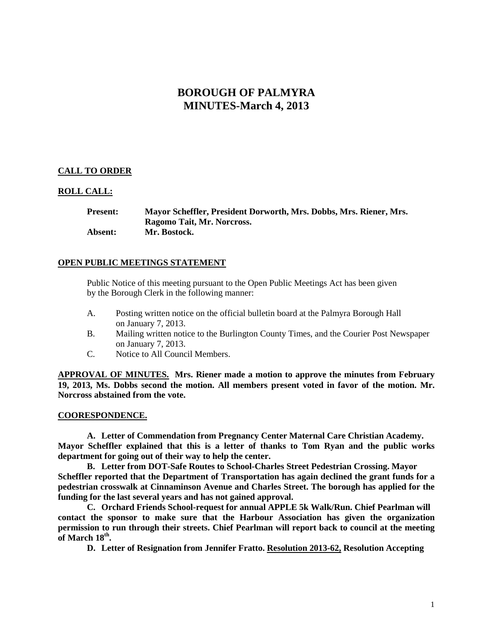# **BOROUGH OF PALMYRA MINUTES-March 4, 2013**

# **CALL TO ORDER**

### **ROLL CALL:**

**Present: Mayor Scheffler, President Dorworth, Mrs. Dobbs, Mrs. Riener, Mrs. Ragomo Tait, Mr. Norcross. Absent: Mr. Bostock.**

## **OPEN PUBLIC MEETINGS STATEMENT**

Public Notice of this meeting pursuant to the Open Public Meetings Act has been given by the Borough Clerk in the following manner:

- A. Posting written notice on the official bulletin board at the Palmyra Borough Hall on January 7, 2013.
- B. Mailing written notice to the Burlington County Times, and the Courier Post Newspaper on January 7, 2013.
- C. Notice to All Council Members.

**APPROVAL OF MINUTES. Mrs. Riener made a motion to approve the minutes from February 19, 2013, Ms. Dobbs second the motion. All members present voted in favor of the motion. Mr. Norcross abstained from the vote.**

#### **COORESPONDENCE.**

**A. Letter of Commendation from Pregnancy Center Maternal Care Christian Academy. Mayor Scheffler explained that this is a letter of thanks to Tom Ryan and the public works department for going out of their way to help the center.**

**B. Letter from DOT-Safe Routes to School-Charles Street Pedestrian Crossing. Mayor Scheffler reported that the Department of Transportation has again declined the grant funds for a pedestrian crosswalk at Cinnaminson Avenue and Charles Street. The borough has applied for the funding for the last several years and has not gained approval.** 

**C. Orchard Friends School-request for annual APPLE 5k Walk/Run. Chief Pearlman will contact the sponsor to make sure that the Harbour Association has given the organization permission to run through their streets. Chief Pearlman will report back to council at the meeting of March 18th.** 

**D. Letter of Resignation from Jennifer Fratto. Resolution 2013-62, Resolution Accepting**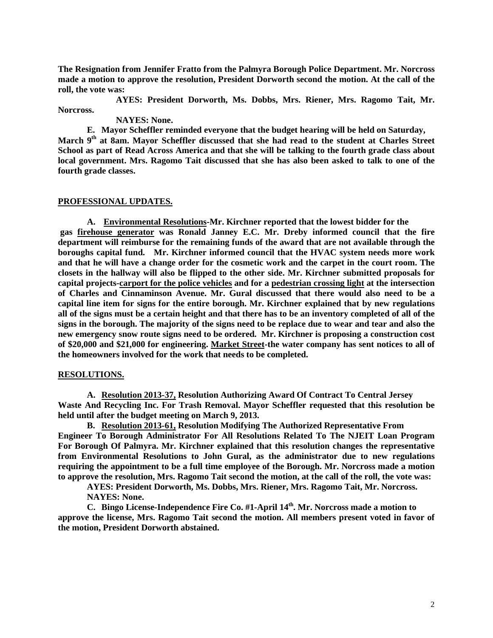**The Resignation from Jennifer Fratto from the Palmyra Borough Police Department. Mr. Norcross made a motion to approve the resolution, President Dorworth second the motion. At the call of the roll, the vote was:**

**AYES: President Dorworth, Ms. Dobbs, Mrs. Riener, Mrs. Ragomo Tait, Mr. Norcross.**

**NAYES: None.** 

**E. Mayor Scheffler reminded everyone that the budget hearing will be held on Saturday, March 9th at 8am. Mayor Scheffler discussed that she had read to the student at Charles Street School as part of Read Across America and that she will be talking to the fourth grade class about local government. Mrs. Ragomo Tait discussed that she has also been asked to talk to one of the fourth grade classes.** 

# **PROFESSIONAL UPDATES.**

**A. Environmental Resolutions-Mr. Kirchner reported that the lowest bidder for the gas firehouse generator was Ronald Janney E.C. Mr. Dreby informed council that the fire department will reimburse for the remaining funds of the award that are not available through the boroughs capital fund. Mr. Kirchner informed council that the HVAC system needs more work and that he will have a change order for the cosmetic work and the carpet in the court room. The closets in the hallway will also be flipped to the other side. Mr. Kirchner submitted proposals for capital projects-carport for the police vehicles and for a pedestrian crossing light at the intersection of Charles and Cinnaminson Avenue. Mr. Gural discussed that there would also need to be a capital line item for signs for the entire borough. Mr. Kirchner explained that by new regulations all of the signs must be a certain height and that there has to be an inventory completed of all of the signs in the borough. The majority of the signs need to be replace due to wear and tear and also the new emergency snow route signs need to be ordered. Mr. Kirchner is proposing a construction cost of \$20,000 and \$21,000 for engineering. Market Street-the water company has sent notices to all of the homeowners involved for the work that needs to be completed.** 

## **RESOLUTIONS.**

**A. Resolution 2013-37, Resolution Authorizing Award Of Contract To Central Jersey Waste And Recycling Inc. For Trash Removal. Mayor Scheffler requested that this resolution be held until after the budget meeting on March 9, 2013.** 

**B. Resolution 2013-61, Resolution Modifying The Authorized Representative From Engineer To Borough Administrator For All Resolutions Related To The NJEIT Loan Program For Borough Of Palmyra. Mr. Kirchner explained that this resolution changes the representative from Environmental Resolutions to John Gural, as the administrator due to new regulations requiring the appointment to be a full time employee of the Borough. Mr. Norcross made a motion to approve the resolution, Mrs. Ragomo Tait second the motion, at the call of the roll, the vote was:**

**AYES: President Dorworth, Ms. Dobbs, Mrs. Riener, Mrs. Ragomo Tait, Mr. Norcross. NAYES: None.** 

**C. Bingo License-Independence Fire Co. #1-April 14th. Mr. Norcross made a motion to approve the license, Mrs. Ragomo Tait second the motion. All members present voted in favor of the motion, President Dorworth abstained.**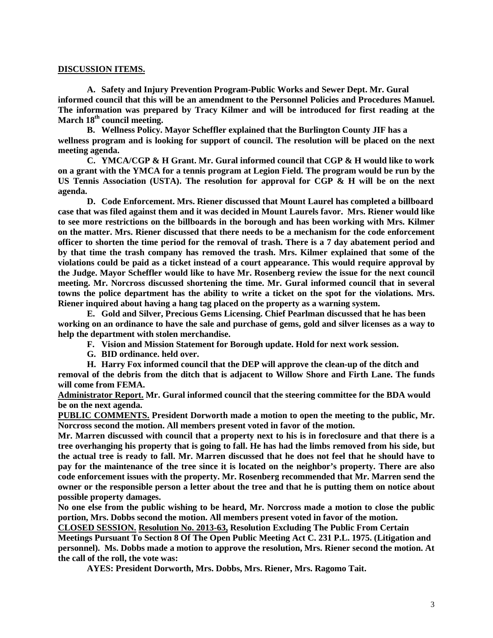#### **DISCUSSION ITEMS.**

**A. Safety and Injury Prevention Program-Public Works and Sewer Dept. Mr. Gural informed council that this will be an amendment to the Personnel Policies and Procedures Manuel. The information was prepared by Tracy Kilmer and will be introduced for first reading at the March 18th council meeting.**

**B. Wellness Policy. Mayor Scheffler explained that the Burlington County JIF has a wellness program and is looking for support of council. The resolution will be placed on the next meeting agenda.**

**C. YMCA/CGP & H Grant. Mr. Gural informed council that CGP & H would like to work on a grant with the YMCA for a tennis program at Legion Field. The program would be run by the US Tennis Association (USTA). The resolution for approval for CGP & H will be on the next agenda.** 

**D. Code Enforcement. Mrs. Riener discussed that Mount Laurel has completed a billboard case that was filed against them and it was decided in Mount Laurels favor. Mrs. Riener would like to see more restrictions on the billboards in the borough and has been working with Mrs. Kilmer on the matter. Mrs. Riener discussed that there needs to be a mechanism for the code enforcement officer to shorten the time period for the removal of trash. There is a 7 day abatement period and by that time the trash company has removed the trash. Mrs. Kilmer explained that some of the violations could be paid as a ticket instead of a court appearance. This would require approval by the Judge. Mayor Scheffler would like to have Mr. Rosenberg review the issue for the next council meeting. Mr. Norcross discussed shortening the time. Mr. Gural informed council that in several towns the police department has the ability to write a ticket on the spot for the violations. Mrs. Riener inquired about having a hang tag placed on the property as a warning system.** 

**E. Gold and Silver, Precious Gems Licensing. Chief Pearlman discussed that he has been working on an ordinance to have the sale and purchase of gems, gold and silver licenses as a way to help the department with stolen merchandise.**

**F. Vision and Mission Statement for Borough update. Hold for next work session.**

**G. BID ordinance. held over.**

**H. Harry Fox informed council that the DEP will approve the clean-up of the ditch and removal of the debris from the ditch that is adjacent to Willow Shore and Firth Lane. The funds will come from FEMA.**

**Administrator Report. Mr. Gural informed council that the steering committee for the BDA would be on the next agenda.** 

**PUBLIC COMMENTS. President Dorworth made a motion to open the meeting to the public, Mr. Norcross second the motion. All members present voted in favor of the motion.**

**Mr. Marren discussed with council that a property next to his is in foreclosure and that there is a tree overhanging his property that is going to fall. He has had the limbs removed from his side, but the actual tree is ready to fall. Mr. Marren discussed that he does not feel that he should have to pay for the maintenance of the tree since it is located on the neighbor's property. There are also code enforcement issues with the property. Mr. Rosenberg recommended that Mr. Marren send the owner or the responsible person a letter about the tree and that he is putting them on notice about possible property damages.** 

**No one else from the public wishing to be heard, Mr. Norcross made a motion to close the public portion, Mrs. Dobbs second the motion. All members present voted in favor of the motion.** 

**CLOSED SESSION. Resolution No. 2013-63, Resolution Excluding The Public From Certain** 

**Meetings Pursuant To Section 8 Of The Open Public Meeting Act C. 231 P.L. 1975. (Litigation and personnel). Ms. Dobbs made a motion to approve the resolution, Mrs. Riener second the motion. At the call of the roll, the vote was:**

**AYES: President Dorworth, Mrs. Dobbs, Mrs. Riener, Mrs. Ragomo Tait.**